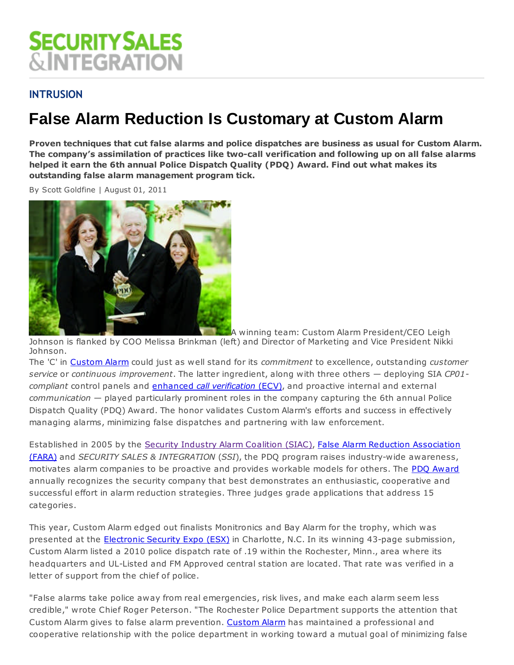# **SECURITY SALES &INTEGRATION**

## **INTRUSION**

# **False Alarm Reduction Is Customary at Custom Alarm**

**Proven techniques that cut false alarms and police dispatches are business as usual for Custom Alarm. The company's assimilation of practices like two-call verification and following up on all false alarms helped it earn the 6th annual Police Dispatch Quality (PDQ) Award. Find out what makes its outstanding false alarm management program tick.**

By Scott Goldfine | August 01, 2011



A winning team: Custom Alarm President/CEO Leigh

Johnson is flanked by COO Melissa Brinkman (left) and Director of Marketing and Vice President Nikki Johnson.

The 'C' in Custom Alarm could just as well stand for its *commitment* to excellence, outstanding *customer service* or *continuous improvement*. The latter ingredient, along with three others — deploying SIA *CP01 compliant* control panels and enhanced *call verification* (ECV), and proactive internal and external *communication* — played particularly prominent roles in the company capturing the 6th annual Police Dispatch Quality (PDQ) Award. The honor validates Custom Alarm's efforts and success in effectively managing alarms, minimizing false dispatches and partnering with law enforcement.

Established in 2005 by the Security Industry Alarm Coalition (SIAC), False Alarm Reduction Association (FARA) and *SECURITY SALES & INTEGRATION* (*SSI*), the PDQ program raises industry-wide awareness, motivates alarm companies to be proactive and provides workable models for others. The PDQ Award annually recognizes the security company that best demonstrates an enthusiastic, cooperative and successful effort in alarm reduction strategies. Three judges grade applications that address 15 categories.

This year, Custom Alarm edged out finalists Monitronics and Bay Alarm for the trophy, which was presented at the **Electronic Security Expo (ESX)** in Charlotte, N.C. In its winning 43-page submission, Custom Alarm listed a 2010 police dispatch rate of .19 within the Rochester, Minn., area where its headquarters and UL-Listed and FM Approved central station are located. That rate was verified in a letter of support from the chief of police.

"False alarms take police away from real emergencies, risk lives, and make each alarm seem less credible," wrote Chief Roger Peterson. "The Rochester Police Department supports the attention that Custom Alarm gives to false alarm prevention. Custom Alarm has maintained a professional and cooperative relationship with the police department in working toward a mutual goal of minimizing false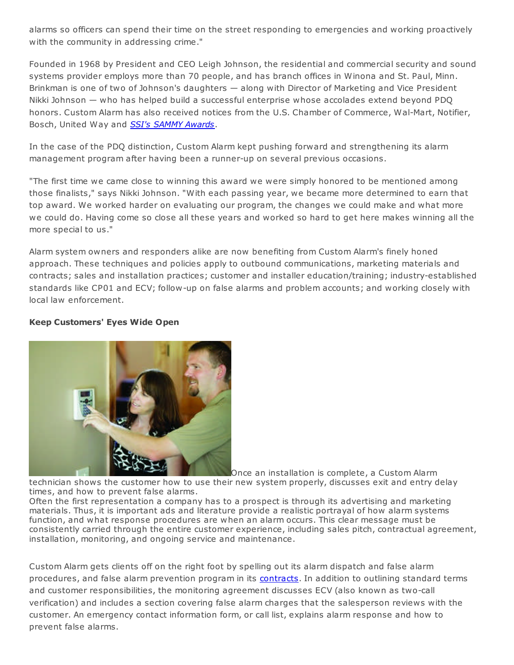alarms so officers can spend their time on the street responding to emergencies and working proactively with the community in addressing crime."

Founded in 1968 by President and CEO Leigh Johnson, the residential and commercial security and sound systems provider employs more than 70 people, and has branch offices in Winona and St. Paul, Minn. Brinkman is one of two of Johnson's daughters — along with Director of Marketing and Vice President Nikki Johnson — who has helped build a successful enterprise whose accolades extend beyond PDQ honors. Custom Alarm has also received notices from the U.S. Chamber of Commerce, Wal-Mart, Notifier, Bosch, United Way and *SSI's SAMMY Awards*.

In the case of the PDQ distinction, Custom Alarm kept pushing forward and strengthening its alarm management program after having been a runner-up on several previous occasions.

"The first time we came close to winning this award we were simply honored to be mentioned among those finalists," says Nikki Johnson. "With each passing year, we became more determined to earn that top award. We worked harder on evaluating our program, the changes we could make and what more we could do. Having come so close all these years and worked so hard to get here makes winning all the more special to us."

Alarm system owners and responders alike are now benefiting from Custom Alarm's finely honed approach. These techniques and policies apply to outbound communications, marketing materials and contracts; sales and installation practices; customer and installer education/training; industry-established standards like CP01 and ECV; follow-up on false alarms and problem accounts; and working closely with local law enforcement.

#### **Keep Customers' Eyes Wide Open**



Once an installation is complete, a Custom Alarm technician shows the customer how to use their new system properly, discusses exit and entry delay times, and how to prevent false alarms.

Often the first representation a company has to a prospect is through its advertising and marketing materials. Thus, it is important ads and literature provide a realistic portrayal of how alarm systems function, and what response procedures are when an alarm occurs. This clear message must be consistently carried through the entire customer experience, including sales pitch, contractual agreement, installation, monitoring, and ongoing service and maintenance.

Custom Alarm gets clients off on the right foot by spelling out its alarm dispatch and false alarm procedures, and false alarm prevention program in its contracts. In addition to outlining standard terms and customer responsibilities, the monitoring agreement discusses ECV (also known as two-call verification) and includes a section covering false alarm charges that the salesperson reviews with the customer. An emergency contact information form, or call list, explains alarm response and how to prevent false alarms.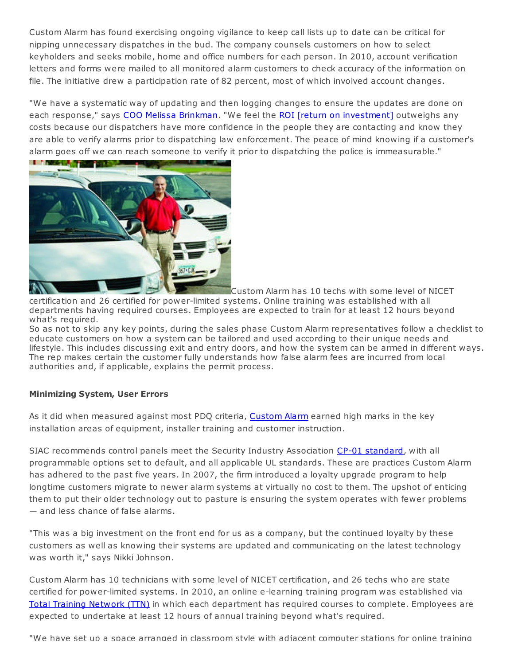Custom Alarm has found exercising ongoing vigilance to keep call lists up to date can be critical for nipping unnecessary dispatches in the bud. The company counsels customers on how to select keyholders and seeks mobile, home and office numbers for each person. In 2010, account verification letters and forms were mailed to all monitored alarm customers to check accuracy of the information on file. The initiative drew a participation rate of 82 percent, most of which involved account changes.

"We have a systematic way of updating and then logging changes to ensure the updates are done on each response," says COO Melissa Brinkman. "We feel the ROI [return on investment] outweighs any costs because our dispatchers have more confidence in the people they are contacting and know they are able to verify alarms prior to dispatching law enforcement. The peace of mind knowing if a customer's alarm goes off we can reach someone to verify it prior to dispatching the police is immeasurable."



Custom Alarm has 10 techs with some level of NICET certification and 26 certified for power-limited systems. Online training was established with all departments having required courses. Employees are expected to train for at least 12 hours beyond what's required.

So as not to skip any key points, during the sales phase Custom Alarm representatives follow a checklist to educate customers on how a system can be tailored and used according to their unique needs and lifestyle. This includes discussing exit and entry doors, and how the system can be armed in different ways. The rep makes certain the customer fully understands how false alarm fees are incurred from local authorities and, if applicable, explains the permit process.

#### **Minimizing System, User Errors**

As it did when measured against most PDQ criteria, Custom Alarm earned high marks in the key installation areas of equipment, installer training and customer instruction.

SIAC recommends control panels meet the Security Industry Association CP-01 standard, with all programmable options set to default, and all applicable UL standards. These are practices Custom Alarm has adhered to the past five years. In 2007, the firm introduced a loyalty upgrade program to help longtime customers migrate to newer alarm systems at virtually no cost to them. The upshot of enticing them to put their older technology out to pasture is ensuring the system operates with fewer problems — and less chance of false alarms.

"This was a big investment on the front end for us as a company, but the continued loyalty by these customers as well as knowing their systems are updated and communicating on the latest technology was worth it," says Nikki Johnson.

Custom Alarm has 10 technicians with some level of NICET certification, and 26 techs who are state certified for power-limited systems. In 2010, an online e-learning training program was established via Total Training Network (TTN) in which each department has required courses to complete. Employees are expected to undertake at least 12 hours of annual training beyond what's required.

"We have set up a space arranged in classroom style with adjacent computer stations for online training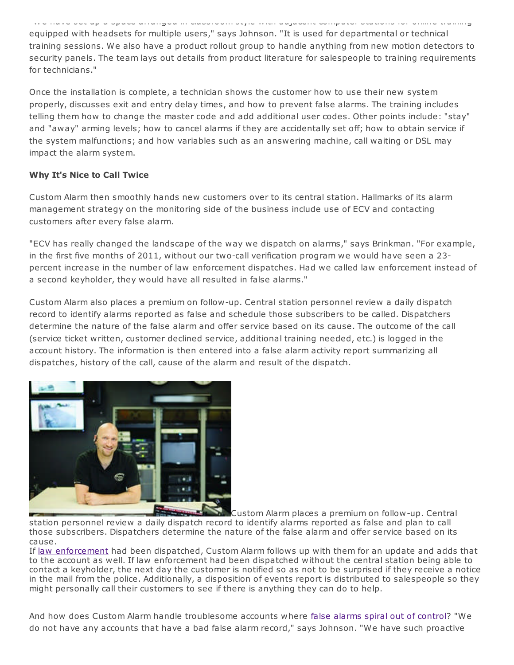"We have set up a space arranged in classroom style with adjacent computer stations for online training equipped with headsets for multiple users," says Johnson. "It is used for departmental or technical training sessions. We also have a product rollout group to handle anything from new motion detectors to security panels. The team lays out details from product literature for salespeople to training requirements for technicians."

Once the installation is complete, a technician shows the customer how to use their new system properly, discusses exit and entry delay times, and how to prevent false alarms. The training includes telling them how to change the master code and add additional user codes. Other points include: "stay" and "away" arming levels; how to cancel alarms if they are accidentally set off; how to obtain service if the system malfunctions; and how variables such as an answering machine, call waiting or DSL may impact the alarm system.

### **Why It's Nice to Call Twice**

Custom Alarm then smoothly hands new customers over to its central station. Hallmarks of its alarm management strategy on the monitoring side of the business include use of ECV and contacting customers after every false alarm.

"ECV has really changed the landscape of the way we dispatch on alarms," says Brinkman. "For example, in the first five months of 2011, without our two-call verification program we would have seen a 23 percent increase in the number of law enforcement dispatches. Had we called law enforcement instead of a second keyholder, they would have all resulted in false alarms."

Custom Alarm also places a premium on follow-up. Central station personnel review a daily dispatch record to identify alarms reported as false and schedule those subscribers to be called. Dispatchers determine the nature of the false alarm and offer service based on its cause. The outcome of the call (service ticket written, customer declined service, additional training needed, etc.) is logged in the account history. The information is then entered into a false alarm activity report summarizing all dispatches, history of the call, cause of the alarm and result of the dispatch.



 $\overline{\phantom{a}}$ *<u>Separate</u>* Custom Alarm places a premium on follow-up. Central station personnel review a daily dispatch record to identify alarms reported as false and plan to call those subscribers. Dispatchers determine the nature of the false alarm and offer service based on its cause.

If law enforcement had been dispatched, Custom Alarm follows up with them for an update and adds that to the account as well. If law enforcement had been dispatched without the central station being able to contact a keyholder, the next day the customer is notified so as not to be surprised if they receive a notice in the mail from the police. Additionally, a disposition of events report is distributed to salespeople so they might personally call their customers to see if there is anything they can do to help.

And how does Custom Alarm handle troublesome accounts where false alarms spiral out of control? "We do not have any accounts that have a bad false alarm record," says Johnson. "We have such proactive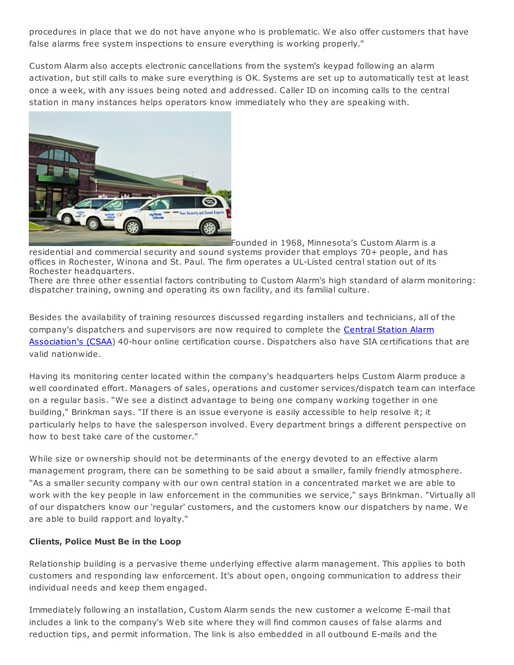procedures in place that we do not have anyone who is problematic. We also offer customers that have false alarms free system inspections to ensure everything is working properly."

Custom Alarm also accepts electronic cancellations from the system's keypad following an alarm activation, but still calls to make sure everything is OK. Systems are set up to automatically test at least once a week, with any issues being noted and addressed. Caller ID on incoming calls to the central station in many instances helps operators know immediately who they are speaking with.



Founded in 1968, Minnesota's Custom Alarm is a

residential and commercial security and sound systems provider that employs 70+ people, and has offices in Rochester, Winona and St. Paul. The firm operates a UL-Listed central station out of its Rochester headquarters.

There are three other essential factors contributing to Custom Alarm's high standard of alarm monitoring: dispatcher training, owning and operating its own facility, and its familial culture.

Besides the availability of training resources discussed regarding installers and technicians, all of the company's dispatchers and supervisors are now required to complete the Central Station Alarm Association's (CSAA) 40-hour online certification course. Dispatchers also have SIA certifications that are valid nationwide.

Having its monitoring center located within the company's headquarters helps Custom Alarm produce a well coordinated effort. Managers of sales, operations and customer services/dispatch team can interface on a regular basis. "We see a distinct advantage to being one company working together in one building," Brinkman says. "If there is an issue everyone is easily accessible to help resolve it; it particularly helps to have the salesperson involved. Every department brings a different perspective on how to best take care of the customer."

While size or ownership should not be determinants of the energy devoted to an effective alarm management program, there can be something to be said about a smaller, family friendly atmosphere. "As a smaller security company with our own central station in a concentrated market we are able to work with the key people in law enforcement in the communities we service," says Brinkman. "Virtually all of our dispatchers know our 'regular' customers, and the customers know our dispatchers by name. We are able to build rapport and loyalty."

#### **Clients, Police Must Be in the Loop**

Relationship building is a pervasive theme underlying effective alarm management. This applies to both customers and responding law enforcement. It's about open, ongoing communication to address their individual needs and keep them engaged.

Immediately following an installation, Custom Alarm sends the new customer a welcome E-mail that includes a link to the company's Web site where they will find common causes of false alarms and reduction tips, and permit information. The link is also embedded in all outbound E-mails and the